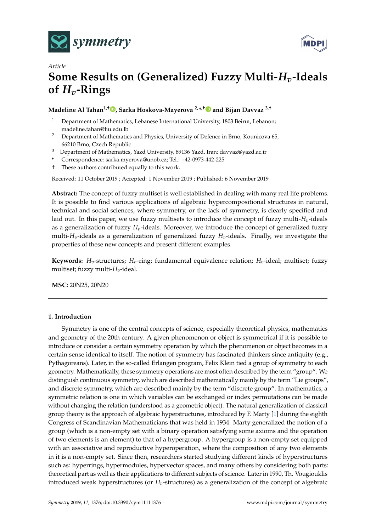



# *Article* **Some Results on (Generalized) Fuzzy Multi-***Hv***-Ideals of** *Hv***-Rings**

## **Madeline Al Tahan1,† [,](https://orcid.org/0000-0002-4243-7935) Sarka Hoskova-Mayerova 2,\* ,[†](https://orcid.org/0000-0002-3305-529X) and Bijan Davvaz 3,†**

- <sup>1</sup> Department of Mathematics, Lebanese International University, 1803 Beirut, Lebanon; madeline.tahan@liu.edu.lb
- <sup>2</sup> Department of Mathematics and Physics, University of Defence in Brno, Kounicova 65, 66210 Brno, Czech Republic
- <sup>3</sup> Department of Mathematics, Yazd University, 89136 Yazd, Iran; davvaz@yazd.ac.ir
- **\*** Correspondence: sarka.myerova@unob.cz; Tel.: +42-0973-442-225
- † These authors contributed equally to this work.

Received: 11 October 2019 ; Accepted: 1 November 2019 ; Published: 6 November 2019

**Abstract:** The concept of fuzzy multiset is well established in dealing with many real life problems. It is possible to find various applications of algebraic hypercompositional structures in natural, technical and social sciences, where symmetry, or the lack of symmetry, is clearly specified and laid out. In this paper, we use fuzzy multisets to introduce the concept of fuzzy multi-*Hv*-ideals as a generalization of fuzzy *Hv*-ideals. Moreover, we introduce the concept of generalized fuzzy multi-*Hv*-ideals as a generalization of generalized fuzzy *Hv*-ideals. Finally, we investigate the properties of these new concepts and present different examples.

**Keywords:**  $H_v$ -structures;  $H_v$ -ring; fundamental equivalence relation;  $H_v$ -ideal; multiset; fuzzy multiset; fuzzy multi-*Hv*-ideal.

**MSC:** 20N25, 20N20

## **1. Introduction**

Symmetry is one of the central concepts of science, especially theoretical physics, mathematics and geometry of the 20th century. A given phenomenon or object is symmetrical if it is possible to introduce or consider a certain symmetry operation by which the phenomenon or object becomes in a certain sense identical to itself. The notion of symmetry has fascinated thinkers since antiquity (e.g., Pythagoreans). Later, in the so-called Erlangen program, Felix Klein tied a group of symmetry to each geometry. Mathematically, these symmetry operations are most often described by the term "group". We distinguish continuous symmetry, which are described mathematically mainly by the term "Lie groups", and discrete symmetry, which are described mainly by the term "discrete group". In mathematics, a symmetric relation is one in which variables can be exchanged or index permutations can be made without changing the relation (understood as a geometric object). The natural generalization of classical group theory is the approach of algebraic hyperstructures, introduced by F. Marty [\[1\]](#page-12-0) during the eighth Congress of Scandinavian Mathematicians that was held in 1934. Marty generalized the notion of a group (which is a non-empty set with a binary operation satisfying some axioms and the operation of two elements is an element) to that of a hypergroup. A hypergroup is a non-empty set equipped with an associative and reproductive hyperoperation, where the composition of any two elements in it is a non-empty set. Since then, researchers started studying different kinds of hyperstructures such as: hyperrings, hypermodules, hypervector spaces, and many others by considering both parts: theoretical part as well as their applications to different subjects of science. Later in 1990, Th. Vougiouklis introduced weak hyperstructures (or *Hv*-structures) as a generalization of the concept of algebraic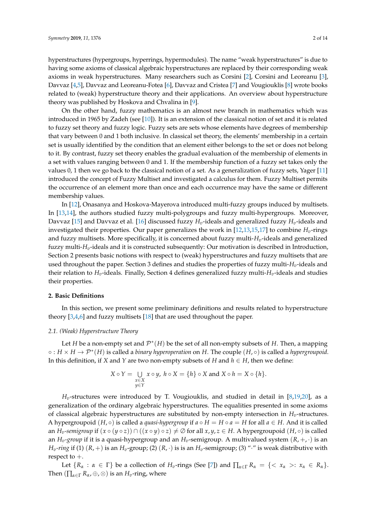hyperstructures (hypergroups, hyperrings, hypermodules). The name "weak hyperstructures" is due to having some axioms of classical algebraic hyperstructures are replaced by their corresponding weak axioms in weak hyperstructures. Many researchers such as Corsini [\[2\]](#page-12-1), Corsini and Leoreanu [\[3\]](#page-12-2), Davvaz [\[4](#page-12-3)[,5\]](#page-12-4), Davvaz and Leoreanu-Fotea [\[6\]](#page-12-5), Davvaz and Cristea [\[7\]](#page-12-6) and Vougiouklis [\[8\]](#page-12-7) wrote books related to (weak) hyperstructure theory and their applications. An overview about hyperstructure theory was published by Hoskova and Chvalina in [\[9\]](#page-12-8).

On the other hand, fuzzy mathematics is an almost new branch in mathematics which was introduced in 1965 by Zadeh (see [\[10\]](#page-12-9)). It is an extension of the classical notion of set and it is related to fuzzy set theory and fuzzy logic. Fuzzy sets are sets whose elements have degrees of membership that vary between 0 and 1 both inclusive. In classical set theory, the elements' membership in a certain set is usually identified by the condition that an element either belongs to the set or does not belong to it. By contrast, fuzzy set theory enables the gradual evaluation of the membership of elements in a set with values ranging between 0 and 1. If the membership function of a fuzzy set takes only the values 0, 1 then we go back to the classical notion of a set. As a generalization of fuzzy sets, Yager [\[11\]](#page-12-10) introduced the concept of Fuzzy Multiset and investigated a calculus for them. Fuzzy Multiset permits the occurrence of an element more than once and each occurrence may have the same or different membership values.

In [\[12\]](#page-12-11), Onasanya and Hoskova-Mayerova introduced multi-fuzzy groups induced by multisets. In [\[13](#page-12-12)[,14\]](#page-13-0), the authors studied fuzzy multi-polygroups and fuzzy multi-hypergroups. Moreover, Davvaz [\[15\]](#page-13-1) and Davvaz et al. [\[16\]](#page-13-2) discussed fuzzy *Hv*-ideals and generalized fuzzy *Hv*-ideals and investigated their properties. Our paper generalizes the work in [\[12,](#page-12-11)[13,](#page-12-12)[15,](#page-13-1)[17\]](#page-13-3) to combine *Hv*-rings and fuzzy multisets. More specifically, it is concerned about fuzzy multi-*Hv*-ideals and generalized fuzzy multi-*Hv*-ideals and it is constructed subsequently: Our motivation is described in Introduction, Section 2 presents basic notions with respect to (weak) hyperstructures and fuzzy multisets that are used throughout the paper. Section 3 defines and studies the properties of fuzzy multi-*Hv*-ideals and their relation to *Hv*-ideals. Finally, Section 4 defines generalized fuzzy multi-*Hv*-ideals and studies their properties.

#### **2. Basic Definitions**

In this section, we present some preliminary definitions and results related to hyperstructure theory [\[3,](#page-12-2)[4,](#page-12-3)[6\]](#page-12-5) and fuzzy multisets [\[18\]](#page-13-4) that are used throughout the paper.

#### *2.1. (Weak) Hyperstructure Theory*

Let *H* be a non-empty set and  $\mathcal{P}^*(H)$  be the set of all non-empty subsets of *H*. Then, a mapping ◦ : *H* × *H* → P<sup>∗</sup> (*H*) is called a *binary hyperoperation* on *H*. The couple (*H*, ◦) is called a *hypergroupoid*. In this definition, if *X* and *Y* are two non-empty subsets of *H* and *h* ∈ *H*, then we define:

$$
X \circ Y = \bigcup_{\substack{x \in X \\ y \in Y}} x \circ y, \ h \circ X = \{h\} \circ X \text{ and } X \circ h = X \circ \{h\}.
$$

 $H_v$ -structures were introduced by T. Vougiouklis, and studied in detail in [\[8,](#page-12-7)[19](#page-13-5)[,20\]](#page-13-6), as a generalization of the ordinary algebraic hyperstructures. The equalities presented in some axioms of classical algebraic hyperstructures are substituted by non-empty intersection in *Hv*-structures. A hypergroupoid  $(H, \circ)$  is called a *quasi-hypergroup* if  $a \circ H = H \circ a = H$  for all  $a \in H$ . And it is called an  $H_v$ -semigroup if  $(x \circ (y \circ z)) \cap ((x \circ y) \circ z) \neq \emptyset$  for all  $x, y, z \in H$ . A hypergroupoid  $(H, \circ)$  is called an  $H_v$ *-group* if it is a quasi-hypergroup and an  $H_v$ -semigroup. A multivalued system  $(R, +, \cdot)$  is an  $H_v$ -ring if (1)  $(R,+)$  is an  $H_v$ -group; (2)  $(R, \cdot)$  is is an  $H_v$ -semigroup; (3) "·" is weak distributive with respect to +.

Let  ${R_\alpha : \alpha \in \Gamma}$  be a collection of *H<sub>v</sub>*-rings (See [\[7\]](#page-12-6)) and  $\prod_{\alpha \in \Gamma} R_\alpha = {< x_\alpha >: x_\alpha \in R_\alpha}.$ Then  $(\prod_{\alpha \in \Gamma} R_{\alpha}, \oplus, \otimes)$  is an  $H_v$ -ring, where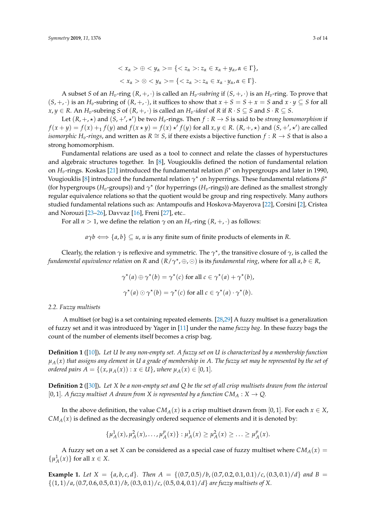$$
\langle x_{\alpha} \rangle \oplus \langle y_{\alpha} \rangle = \{ \langle z_{\alpha} \rangle : z_{\alpha} \in x_{\alpha} + y_{\alpha}, \alpha \in \Gamma \},
$$
  

$$
\langle x_{\alpha} \rangle \otimes \langle y_{\alpha} \rangle = \{ \langle z_{\alpha} \rangle : z_{\alpha} \in x_{\alpha} \cdot y_{\alpha}, \alpha \in \Gamma \}.
$$

A subset *S* of an  $H_v$ -ring  $(R, +, \cdot)$  is called an  $H_v$ -subring if  $(S, +, \cdot)$  is an  $H_v$ -ring. To prove that  $(S, +, \cdot)$  is an  $H_v$ -subring of  $(R, +, \cdot)$ , it suffices to show that  $x + S = S + x = S$  and  $x \cdot y \subseteq S$  for all *x*, *y* ∈ *R*. An *H*<sub>*v*</sub>-subring *S* of (*R*, +, ·) is called an *H*<sub>*v*</sub>-ideal of *R* if *R* · *S* ⊆ *S* and *S* · *R* ⊆ *S*.

Let  $(R, +, *)$  and  $(S, +', *')$  be two  $H_v$ -rings. Then  $f : R \to S$  is said to be *strong homomorphism* if  $f(x+y) = f(x) + f(y)$  and  $f(x \star y) = f(x) \star' f(y)$  for all  $x, y \in R$ .  $(R, +, \star)$  and  $(S, +', \star')$  are called *isomorphic H*<sub>*v*</sub>-*rings*, and written as *R*  $\cong$  *S*, if there exists a bijective function  $f : R \to S$  that is also a strong homomorphism.

Fundamental relations are used as a tool to connect and relate the classes of hyperstuctures and algebraic structures together. In [\[8\]](#page-12-7), Vougiouklis defined the notion of fundamental relation on *Hv*-rings. Koskas [\[21\]](#page-13-7) introduced the fundamental relation *β* ? on hypergroups and later in 1990, Vougiouklis [\[8\]](#page-12-7) introduced the fundamental relation  $\gamma^*$  on hyperrings. These fundamental relations  $\beta^*$ (for hypergroups ( $H_v$ -groups)) and  $\gamma^{\star}$  (for hyperrings ( $H_v$ -rings)) are defined as the smallest strongly regular equivalence relations so that the quotient would be group and ring respectively. Many authors studied fundamental relations such as: Antampoufis and Hoskova-Mayerova [\[22\]](#page-13-8), Corsini [\[2\]](#page-12-1), Cristea and Norouzi [\[23](#page-13-9)[–26\]](#page-13-10), Davvaz [\[16\]](#page-13-2), Freni [\[27\]](#page-13-11), etc..

For all  $n > 1$ , we define the relation  $\gamma$  on an  $H_v$ -ring  $(R, +, \cdot)$  as follows:

 $a\gamma b \Longleftrightarrow \{a, b\} \subseteq u$ , *u* is any finite sum of finite products of elements in *R*.

Clearly, the relation  $\gamma$  is reflexive and symmetric. The  $\gamma^\star$ , the transitive closure of  $\gamma$ , is called the *fundamental equivalence relation on R* and  $(R/\gamma^*, \oplus, \odot)$  is its *fundamental ring*, where for all *a*,  $b \in R$ ,

$$
\gamma^*(a) \oplus \gamma^*(b) = \gamma^*(c) \text{ for all } c \in \gamma^*(a) + \gamma^*(b),
$$
  

$$
\gamma^*(a) \odot \gamma^*(b) = \gamma^*(c) \text{ for all } c \in \gamma^*(a) \cdot \gamma^*(b).
$$

#### *2.2. Fuzzy multisets*

A multiset (or bag) is a set containing repeated elements. [\[28](#page-13-12)[,29\]](#page-13-13) A fuzzy multiset is a generalization of fuzzy set and it was introduced by Yager in [\[11\]](#page-12-10) under the name *fuzzy bag*. In these fuzzy bags the count of the number of elements itself becomes a crisp bag.

**Definition 1** ([\[10\]](#page-12-9))**.** *Let U be any non-empty set. A fuzzy set on U is characterized by a membership function µA*(*x*) *that assigns any element in U a grade of membership in A. The fuzzy set may be represented by the set of ordered pairs*  $A = \{(x, \mu_A(x)) : x \in U\}$ , *where*  $\mu_A(x) \in [0, 1]$ *.* 

**Definition 2** ([\[30\]](#page-13-14))**.** *Let X be a non-empty set and Q be the set of all crisp multisets drawn from the interval* [0, 1]. A fuzzy multiset A drawn from X is represented by a function  $CM_A : X \to Q$ .

In the above definition, the value *CM<sub>A</sub>*(*x*) is a crisp multiset drawn from [0, 1]. For each  $x \in X$ ,  $CM_A(x)$  is defined as the decreasingly ordered sequence of elements and it is denoted by:

$$
\{\mu_A^1(x), \mu_A^2(x), \ldots, \mu_A^p(x)\} : \mu_A^1(x) \ge \mu_A^2(x) \ge \ldots \ge \mu_A^p(x).
$$

A fuzzy set on a set *X* can be considered as a special case of fuzzy multiset where  $CM_A(x)$  =  $\{\mu_A^1(x)\}\$ for all  $x \in X$ .

<span id="page-2-0"></span>**Example 1.** Let  $X = \{a, b, c, d\}$ . Then  $A = \{(0.7, 0.5) / b, (0.7, 0.2, 0.1, 0.1) / c, (0.3, 0.1) / d\}$  and  $B =$ {(1, 1)/*a*,(0.7, 0.6, 0.5, 0.1)/*b*,(0.3, 0.1)/*c*,(0.5, 0.4, 0.1)/*d*} *are fuzzy multisets of X.*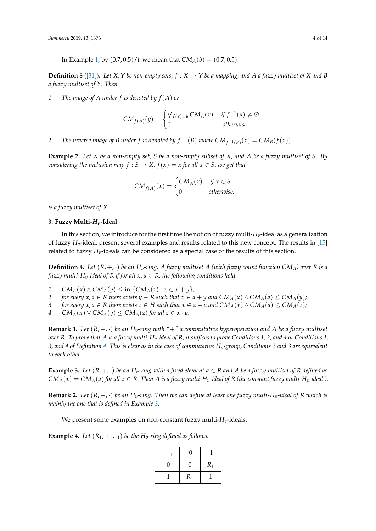In Example [1,](#page-2-0) by  $(0.7, 0.5)/b$  we mean that  $CM_A(b) = (0.7, 0.5)$ .

**Definition 3** ([\[31\]](#page-13-15)). Let  $X, Y$  be non-empty sets,  $f : X \to Y$  be a mapping, and A a fuzzy multiset of X and B *a fuzzy multiset of Y. Then*

*1. The image of A under f is denoted by f*(*A*) *or*

$$
CM_{f(A)}(y) = \begin{cases} V_{f(x)=y} CM_A(x) & if f^{-1}(y) \neq \emptyset \\ 0 & otherwise. \end{cases}
$$

*2. The inverse image of B under f is denoted by*  $f^{-1}(B)$  *where*  $CM_{f^{-1}(B)}(x) = CM_B(f(x))$ *.* 

**Example 2.** *Let X be a non-empty set, S be a non-empty subset of X, and A be a fuzzy multiset of S. By considering the inclusion map*  $f : S \to X$ ,  $f(x) = x$  *for all*  $x \in S$ , *we get that* 

$$
CM_{f(A)}(x) = \begin{cases} CM_A(x) & \text{if } x \in S \\ 0 & \text{otherwise.} \end{cases}
$$

*is a fuzzy multiset of X.*

#### **3. Fuzzy Multi-***Hv***-Ideal**

In this section, we introduce for the first time the notion of fuzzy multi-*Hv*-ideal as a generalization of fuzzy *Hv*-ideal, present several examples and results related to this new concept. The results in [\[15\]](#page-13-1) related to fuzzy *Hv*-ideals can be considered as a special case of the results of this section.

<span id="page-3-0"></span>**Definition 4.** Let  $(R, +, \cdot)$  be an  $H_n$ -ring. A fuzzy multiset A (with fuzzy count function  $CM_A$ ) over R is a *fuzzy multi-H<sub>v</sub>-ideal of R if for all*  $x, y \in R$ *, the following conditions hold.* 

- *1.*  $CM_A(x) \wedge CM_A(y) \leq \inf\{CM_A(z) : z \in x + y\}$
- *2. for every*  $x, a \in \mathbb{R}$  *there exists*  $y \in \mathbb{R}$  *such that*  $x \in a + y$  *and*  $CM_A(x) \wedge CM_A(a) \leq CM_A(y)$ ;
- *3. for every x, a* ∈ *R there exists*  $z$  ∈ *H such that*  $x$  ∈  $z$  + *a and*  $CM_A(x) \land CM_A(a) \leq CM_A(z)$ *;*
- 4. *CM<sub>A</sub>*(*x*)  $\vee$  *CM<sub>A</sub>*(*y*)  $\leq$  *CM<sub>A</sub>*(*z*) *for all z*  $\in$  *x* · *y*.

**Remark 1.** Let  $(R, +, \cdot)$  be an  $H_v$ -ring with " $+$ " a commutative hyperoperation and A be a fuzzy multiset *over R. To prove that A is a fuzzy multi-Hv-ideal of R, it suffices to prove Conditions 1, 2, and 4 or Conditions 1, 3, and 4 of Definition [4.](#page-3-0) This is clear as in the case of commutative Hv-group, Conditions 2 and 3 are equivalent to each other.*

<span id="page-3-1"></span>**Example 3.** Let  $(R, +, \cdot)$  be an  $H_v$ -ring with a fixed element  $a \in R$  and A be a fuzzy multiset of R defined as  $CM_A(x) = CM_A(a)$  for all  $x \in R$ . Then A is a fuzzy multi-H<sub>v</sub>-ideal of R (the constant fuzzy multi-H<sub>v</sub>-ideal.).

**Remark 2.** Let  $(R, +, \cdot)$  be an  $H_v$ -ring. Then we can define at least one fuzzy multi- $H_v$ -ideal of  $R$  which is *mainly the one that is defined in Example [3.](#page-3-1)*

We present some examples on non-constant fuzzy multi- $H_v$ -ideals.

<span id="page-3-2"></span>**Example 4.** Let  $(R_1, +_1, \cdot_1)$  be the H<sub>*v*</sub>-ring defined as follows:

| $+1$ | O)    |       |
|------|-------|-------|
| 0    | 0     | $R_1$ |
|      | $R_1$ |       |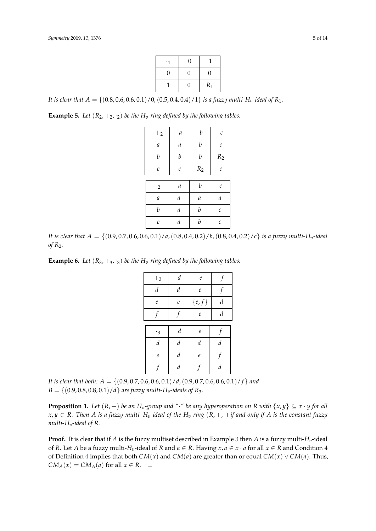|   | 0 |                    |
|---|---|--------------------|
| 0 | 0 | 0                  |
|   | 0 | $\ensuremath{R}_1$ |

*It is clear that*  $A = \{(0.8, 0.6, 0.6, 0.1)/0, (0.5, 0.4, 0.4)/1\}$  *is a fuzzy multi-H<sub>v</sub>-ideal of*  $R_1$ *.* 

<span id="page-4-2"></span>**Example 5.** *Let*  $(R_2, +_2, \cdot_2)$  *be the*  $H_v$ *-ring defined by the following tables:* 

| $+2$             | $\boldsymbol{a}$ | $\boldsymbol{b}$            | $\mathcal C$                       |
|------------------|------------------|-----------------------------|------------------------------------|
| $\it a$          | а                | $\boldsymbol{b}$            | $\mathcal C$                       |
| $\boldsymbol{b}$ | b                | $\boldsymbol{b}$            | $\ensuremath{R_{\text{2}}}\xspace$ |
| $\mathcal C$     | $\mathcal C$     | $\ensuremath{R_{\text{2}}}$ | $\mathcal{C}_{0}$                  |
|                  |                  |                             |                                    |
| $\cdot$ 2        | $\boldsymbol{a}$ | b                           | C                                  |
| $\boldsymbol{a}$ | а                | $\it a$                     | $\it a$                            |
| b                | $\boldsymbol{a}$ | $\boldsymbol{b}$            | $\mathcal C$                       |
| $\mathcal C$     | а                | $\boldsymbol{b}$            | $\mathcal C$                       |

*It is clear that*  $A = \{(0.9, 0.7, 0.6, 0.6, 0.1)/a, (0.8, 0.4, 0.2)/b, (0.8, 0.4, 0.2)/c\}$  *is a fuzzy multi-H<sub>v</sub>-ideal of R*2*.*

<span id="page-4-1"></span>**Example 6.** *Let*  $(R_3, +_3, \cdot_3)$  *be the*  $H_v$ *-ring defined by the following tables:* 

| $+3$             | $\boldsymbol{d}$ | $\ell$           |                  |
|------------------|------------------|------------------|------------------|
| d                | $\boldsymbol{d}$ | $\ell$           |                  |
| $\mathfrak{e}$   | $\mathfrak{e}$   | $\{e,f\}$        | $\boldsymbol{d}$ |
| f                |                  | $\ell$           | $\boldsymbol{d}$ |
|                  |                  |                  |                  |
| $\cdot$ 3        | $\boldsymbol{d}$ | $\boldsymbol{e}$ |                  |
| $\boldsymbol{d}$ | $\boldsymbol{d}$ | $\boldsymbol{d}$ | $\boldsymbol{d}$ |
| $\mathfrak{e}$   | $\boldsymbol{d}$ | $\mathfrak{e}$   |                  |
|                  | $\boldsymbol{d}$ |                  | $\boldsymbol{d}$ |

*It is clear that both: A* = {(0.9, 0.7, 0.6, 0.6, 0.1)/*d*,(0.9, 0.7, 0.6, 0.6, 0.1)/ *f* } *and*  $B = \{(0.9, 0.8, 0.8, 0.1)/d\}$  *are fuzzy multi-H<sub>v</sub>-ideals of R<sub>3</sub>.* 

<span id="page-4-0"></span>**Proposition 1.** Let  $(R, +)$  be an  $H_v$ -group and "·" be any hyperoperation on R with  $\{x, y\} \subseteq x \cdot y$  for all  $x, y \in R$ . Then *A* is a fuzzy multi–H<sub>v</sub>-ideal of the H<sub>v</sub>-ring  $(R, +, \cdot)$  if and only if *A* is the constant fuzzy *multi-Hv-ideal of R.*

**Proof.** It is clear that if *A* is the fuzzy multiset described in Example [3](#page-3-1) then *A* is a fuzzy multi-*Hv*-ideal of *R*. Let *A* be a fuzzy multi- $H_v$ -ideal of *R* and  $a \in R$ . Having  $x, a \in x \cdot a$  for all  $x \in R$  and Condition 4 of Definition [4](#page-3-0) implies that both *CM*(*x*) and *CM*(*a*) are greater than or equal *CM*(*x*) ∨ *CM*(*a*). Thus,  $CM_A(x) = CM_A(a)$  for all  $x \in R$ .  $\square$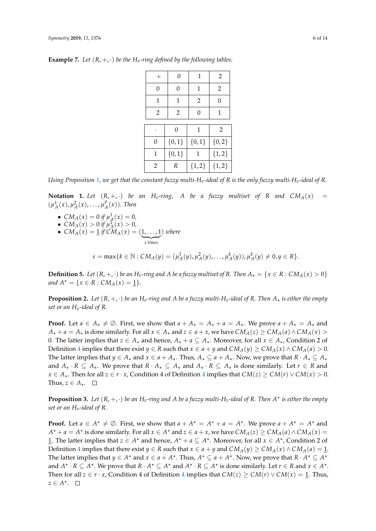|                | 0        | 1              | $\overline{2}$ |
|----------------|----------|----------------|----------------|
| $\Omega$       | 0        | 1              | $\overline{2}$ |
| 1              | 1        | $\overline{2}$ | 0              |
| $\overline{2}$ | 2        | 0              | 1              |
|                |          |                |                |
|                | $\Omega$ | 1              | $\overline{2}$ |
| 0              | ${0,1}$  | ${0,1}$        | ${0,2}$        |
| ${0,1}$<br>1   |          | 1              | ${1, 2}$       |
| $\overline{2}$ | R        | ${1, 2}$       | ${1, 2}$       |

**Example 7.** Let  $(R, +, \cdot)$  be the  $H_v$ -ring defined by the following tables:

*Using Proposition* [1,](#page-4-0) we get that the constant fuzzy multi-H<sub>*v*</sub>-ideal of R is the only fuzzy multi-H<sub>*v*</sub>-ideal of R.

**Notation 1.** Let  $(R, +, \cdot)$  be an  $H_v$ -ring, A be a fuzzy multiset of R and  $CM_A(x)$  =  $(\mu_A^1(x), \mu_A^2(x), \ldots, \mu_A^p)$  $_{A}^{p}(x)$ ). Then

- $CM_A(x) = 0$  if  $\mu_A^1(x) = 0$ ,
- $CM_A(x) > 0$  if  $\mu_A^1(x) > 0$ ,
- $CM_A(x) = 1$  *if*  $CM_A(x) = (1, ..., 1)$  $\frac{1}{\text{s times}}$ *s times* ) *where*

 $s = \max\{k \in \mathbb{N} : CM_A(y) = (\mu_A^1(y), \mu_A^2(y), \ldots, \mu_A^k(y)), \mu_A^k(y) \neq 0, y \in R\}.$ 

**Definition 5.** Let  $(R, +, \cdot)$  be an  $H_v$ -ring and A be a fuzzy multiset of R. Then  $A_x = \{x \in R : CM_A(x) > 0\}$ *and*  $A^* = \{x \in R : CM_A(x) = 1\}.$ 

**Proposition 2.** Let  $(R, +, \cdot)$  be an  $H_v$ -ring and A be a fuzzy multi-H<sub>v</sub>-ideal of R. Then  $A_{\star}$  is either the empty *set or an Hv-ideal of R.*

**Proof.** Let  $a \in A_{\star} \neq \emptyset$ . First, we show that  $a + A_{\star} = A_{\star} + a = A_{\star}$ . We prove  $a + A_{\star} = A_{\star}$  and  $A_{\star} + a = A_{\star}$  is done similarly. For all  $x \in A_{\star}$  and  $z \in a + x$ , we have  $CM_A(z) \geq CM_A(a) \wedge CM_A(x) >$ 0. The latter implies that  $z \in A_*$  and hence,  $A_* + a \subseteq A_*$ . Moreover, for all  $x \in A_*$ , Condition 2 of Definition [4](#page-3-0) implies that there exist *y*  $\in$  *R* such that *x*  $\in$  *a* + *y* and *CM<sub><i>A*</sub>(*y*)  $\geq$  *CM<sub><i>A*</sub>(*x*)  $\wedge$  *CM<sub><i>A*</sub>(*a*)  $>$  0. The latter implies that *y*  $\in$  *A*<sub>\*</sub> and *x*  $\in$  *a* + *A*<sub>\*</sub>. Thus, *A*<sub>\*</sub>  $\subseteq$  *a* + *A*<sub>\*</sub>. Now, we prove that *R* · *A*<sub>\*</sub>  $\subseteq$  *A*<sub>\*</sub> and  $A_{\star} \cdot R \subseteq A_{\star}$ . We prove that  $R \cdot A_{\star} \subseteq A_{\star}$  and  $A_{\star} \cdot R \subseteq A_{\star}$  is done similarly. Let  $r \in R$  and *x* ∈ *A*<sub>\*</sub>. Then for all *z* ∈ *r* · *x*, Condition [4](#page-3-0) of Definition 4 implies that *CM*(*z*) ≥ *CM*(*r*) ∨ *CM*(*x*) > 0. Thus,  $z \in A_*$ .  $\square$ 

**Proposition 3.** Let  $(R, +, \cdot)$  be an  $H_v$ -ring and A be a fuzzy multi- $H_v$ -ideal of R. Then  $A^*$  is either the empty *set or an Hv-ideal of R.*

**Proof.** Let  $a \in A^* \neq \emptyset$ . First, we show that  $a + A^* = A^* + a = A^*$ . We prove  $a + A^* = A^*$  and  $A^* + a = A^*$  is done similarly. For all  $x \in A^*$  and  $z \in a + x$ , we have  $CM_A(z) \geq CM_A(a) \wedge CM_A(x) =$ 1. The latter implies that  $z \in A^*$  and hence,  $A^* + a \subseteq A^*$ . Moreover, for all  $x \in A^*$ , Condition 2 of Definition [4](#page-3-0) implies that there exist  $y \in R$  such that  $x \in a + y$  and  $CM_A(y) \geq CM_A(x) \wedge CM_A(a) = 1$ . The latter implies that  $y \in A^*$  and  $x \in a + A^*$ . Thus,  $A^* \subseteq a + A^*$ . Now, we prove that  $R \cdot A^* \subseteq A^*$ and  $A^* \cdot R \subseteq A^*$ . We prove that  $R \cdot A^* \subseteq A^*$  and  $A^* \cdot R \subseteq A^*$  is done similarly. Let  $r \in R$  and  $x \in A^*$ . Then for all  $z \in r \cdot x$ , Condition [4](#page-3-0) of Definition 4 implies that  $CM(z) > CM(r) \vee CM(x) = 1$ . Thus,  $z \in A^*$ .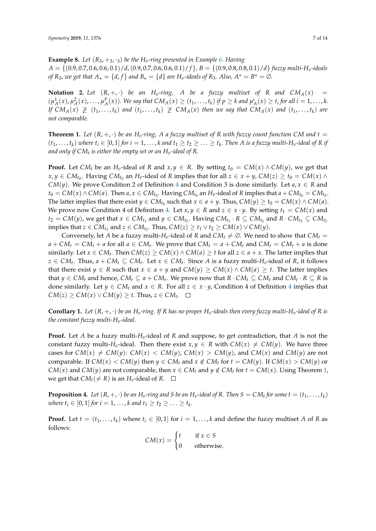**Example 8.** *Let*  $(R_3, +_3, \cdot_3)$  *be the*  $H_v$ *-ring presented in Example* [6.](#page-4-1) *Having A* = {(0.9, 0.7, 0.6, 0.6, 0.1)/*d*,(0.9, 0.7, 0.6, 0.6, 0.1)/ *f* }*, B* = {(0.9, 0.8, 0.8, 0.1)/*d*} *fuzzy multi-Hv-ideals of*  $R_3$ *, we get that*  $A_\star = \{d, f\}$  *and*  $B_\star = \{d\}$  *are*  $H_v$ -ideals of  $R_3$ *. Also,*  $A^\star = B^\star = \emptyset$ *.* 

**Notation 2.** Let  $(R, +, \cdot)$  be an  $H_v$ -ring, A be a fuzzy multiset of R and  $CM_A(x)$  =  $(\mu_A^1(x), \mu_A^2(x), \ldots, \mu_A^p)$  $_{A}^{p}(x)$ ). We say that  $CM_{A}(x) \ge (t_1, ..., t_k)$  if  $p \ge k$  and  $\mu_A^i(x) \ge t_i$  for all  $i = 1, ..., k$ . If  $CM_A(x) \ngeq (t_1, ..., t_k)$  and  $(t_1, ..., t_k) \ngeq CM_A(x)$  then we say that  $CM_A(x)$  and  $(t_1, ..., t_k)$  are *not comparable.*

<span id="page-6-0"></span>**Theorem 1.** Let  $(R, +, \cdot)$  be an  $H_v$ -ring, A a fuzzy multiset of R with fuzzy count function CM and  $t =$  $(t_1,\ldots,t_k)$  where  $t_i\in[0,1]$  for  $i=1,\ldots,k$  and  $t_1\ge t_2\ge\ldots\ge t_k.$  Then A is a fuzzy multi-H<sub>v</sub>-ideal of R if *and only if CM<sup>t</sup> is either the empty set or an Hv-ideal of R.*

**Proof.** Let  $CM_t$  be an  $H_v$ -ideal of *R* and  $x, y \in R$ . By setting  $t_0 = CM(x) \wedge CM(y)$ , we get that  $x, y \in CM_{t_0}$ . Having  $CM_{t_0}$  an  $H_v$ -ideal of *R* implies that for all  $z \in x + y$ ,  $CM(z) \ge t_0 = CM(x) \wedge$ *CM*(*y*). We prove Condition 2 of Definition [4](#page-3-0) and Condition 3 is done similarly. Let  $a, x \in R$  and  $t_0 = CM(x) \wedge CM(a)$ . Then  $a, x \in CM_{t_0}$ . Having  $CM_{t_0}$  an  $H_v$ -ideal of  $R$  implies that  $a + CM_{t_0} = CM_{t_0}$ . The latter implies that there exist  $y \in CM_{t_0}$  such that  $x \in a + y$ . Thus,  $CM(y) \ge t_0 = CM(x) \wedge CM(a)$ . We prove now Condition 4 of Definition [4.](#page-3-0) Let  $x, y \in R$  and  $z \in x \cdot y$ . By setting  $t_1 = CM(x)$  and  $t_2 = CM(y)$ , we get that  $x \in CM_{t_1}$  and  $y \in CM_{t_2}$ . Having  $CM_{t_1} \cdot R \subseteq CM_{t_1}$  and  $R \cdot CM_{t_2} \subseteq CM_{t_2}$ implies that  $z \in CM_{t_1}$  and  $z \in CM_{t_2}$ . Thus,  $CM(z) \geq t_1 \vee t_2 \geq CM(x) \vee CM(y)$ .

Conversely, let *A* be a fuzzy multi-*H*<sub>*v*</sub>-ideal of *R* and *CM*<sub>*t*</sub>  $\neq \emptyset$ . We need to show that *CM*<sub>*t*</sub> =  $a + CM_t = CM_t + a$  for all  $a \in CM_t$ . We prove that  $CM_t = a + CM_t$  and  $CM_t = CM_t + a$  is done similarly. Let  $x \in CM_t$ . Then  $CM(z) \ge CM(x) \wedge CM(a) \ge t$  for all  $z \in a + x$ . The latter implies that *z* ∈ *CM*<sup>*t*</sup>. Thus, *a* + *CM*<sup>*t*</sup> ⊆ *CM*<sup>*t*</sup>. Let *x* ∈ *CM*<sup>*t*</sup>. Since *A* is a fuzzy multi-*H*<sub>*v*</sub>-ideal of *R*, it follows that there exist *y* ∈ *R* such that *x* ∈ *a* + *y* and *CM*(*y*) ≥ *CM*(*x*) ∧ *CM*(*a*) ≥ *t*. The latter implies that  $y \in CM_t$  and hence,  $CM_t \subseteq a + CM_t$ . We prove now that  $R \cdot CM_t \subseteq CM_t$  and  $CM_t \cdot R \subseteq R$  is done similarly. Let  $y \in CM_t$  and  $x \in R$ . For all  $z \in x \cdot y$ , Condition [4](#page-3-0) of Definition 4 implies that  $CM(z) \ge CM(x) \vee CM(y) \ge t$ . Thus,  $z \in CM_t$ .

**Corollary 1.** Let  $(R, +, \cdot)$  be an  $H_v$ -ring. If R has no proper  $H_v$ -ideals then every fuzzy multi- $H_v$ -ideal of R is *the constant fuzzy multi-Hv-ideal.*

**Proof.** Let *A* be a fuzzy multi-*Hv*-ideal of *R* and suppose, to get contradiction, that *A* is not the constant fuzzy multi-*H<sub><i>v*</sub>-ideal. Then there exist  $x, y \in R$  with  $CM(x) \neq CM(y)$ . We have three cases for  $CM(x) \neq CM(y)$ :  $CM(x) < CM(y)$ ,  $CM(x) > CM(y)$ , and  $CM(x)$  and  $CM(y)$  are not comparable. If  $CM(x) < CM(y)$  then  $y \in CM_t$  and  $x \notin CM_t$  for  $t = CM(y)$ . If  $CM(x) > CM(y)$  or *CM*(*x*) and *CM*(*y*) are not comparable, then  $x \in CM_t$  and  $y \notin CM_t$  for  $t = CM(x)$ . Using Theorem [1,](#page-6-0) we get that  $CM_t(\neq R)$  is an  $H_v$ -ideal of  $R$ .  $\Box$ 

**Proposition 4.** Let  $(R, +, \cdot)$  be an  $H_v$ -ring and S be an  $H_v$ -ideal of R. Then  $S = CM_t$  for some  $t = (t_1, \ldots, t_k)$  $\omega$ *here*  $t_i \in [0, 1]$  *for*  $i = 1, ..., k$  *and*  $t_1 \geq t_2 \geq ... \geq t_k$ .

**Proof.** Let  $t = (t_1, \ldots, t_k)$  where  $t_i \in [0, 1]$  for  $i = 1, \ldots, k$  and define the fuzzy multiset *A* of *R* as follows:

 $CM(x) = \begin{cases} t & \text{if } x \in S \\ 0 & \text{if } x \in S \end{cases}$ 0 otherwise.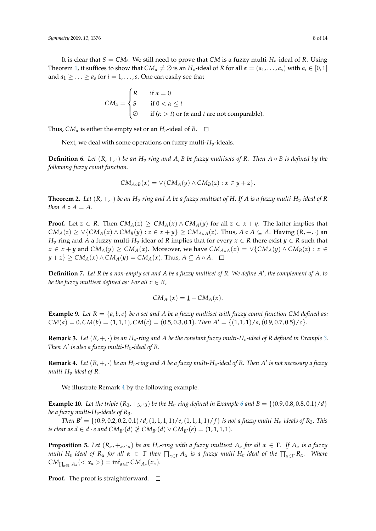It is clear that  $S = CM_t$ . We still need to prove that  $CM$  is a fuzzy multi- $H_v$ -ideal of R. Using Theorem [1,](#page-6-0) it suffices to show that  $CM_\alpha \neq \emptyset$  is an  $H_v$ -ideal of R for all  $\alpha = (a_1, \ldots, a_s)$  with  $a_i \in [0,1]$ and  $a_1 \geq \ldots \geq a_s$  for  $i = 1, \ldots, s$ . One can easily see that

$$
CM_{\alpha} = \begin{cases} R & \text{if } \alpha = 0 \\ S & \text{if } 0 < \alpha \leq t \\ \varnothing & \text{if } (\alpha > t) \text{ or } (\alpha \text{ and } t \text{ are not comparable).} \end{cases}
$$

Thus,  $CM_{\alpha}$  is either the empty set or an  $H_{\alpha}$ -ideal of  $R$ .  $\square$ 

Next, we deal with some operations on fuzzy multi- $H_v$ -ideals.

**Definition 6.** Let  $(R, +, \cdot)$  be an  $H_v$ -ring and A, B be fuzzy multisets of R. Then  $A \circ B$  is defined by the *following fuzzy count function.*

$$
CM_{A\circ B}(x) = \vee \{CM_A(y) \wedge CM_B(z) : x \in y + z\}.
$$

**Theorem 2.** Let  $(R, +, \cdot)$  be an  $H_v$ -ring and A be a fuzzy multiset of H. If A is a fuzzy multi- $H_v$ -ideal of R *then*  $A \circ A = A$ .

**Proof.** Let  $z \in R$ . Then  $CM_A(z) \ge CM_A(x) \wedge CM_A(y)$  for all  $z \in x + y$ . The latter implies that  $CM_A(z) \geq \vee \{CM_A(x) \wedge CM_B(y) : z \in x + y\} \geq CM_{A \circ A}(z)$ . Thus,  $A \circ A \subseteq A$ . Having  $(R, +, \cdot)$  an *H*<sub>*v*</sub>-ring and *A* a fuzzy multi-*H*<sub>*v*</sub>-idear of *R* implies that for every  $x \in R$  there exist  $y \in R$  such that *x* ∈ *x* + *y* and *CM*<sub>*A*</sub>(*y*) ≥ *CM*<sub>*A*</sub>(*x*). Moreover, we have *CM*<sub>*A*</sub>⋅*A*(*x*) = ∨{*CM<sub><i>A*</sub>(*y*) ∧ *CM*<sub>*B*</sub>(*z*) : *x* ∈  $y + z$ }  $\geq CM_A(x) \wedge CM_A(y) = CM_A(x)$ . Thus,  $A \subseteq A \circ A$ .  $\Box$ 

**Definition 7.** *Let R be a non-empty set and A be a fuzzy multiset of R. We define A* 0 *, the complement of A, to be the fuzzy multiset defined as: For all*  $x \in R$ *,* 

$$
CM_{A'}(x) = \underline{1} - CM_A(x).
$$

**Example 9.** Let  $R = \{a, b, c\}$  be a set and A be a fuzzy multiset with fuzzy count function CM defined as:  $CM(a) = 0, CM(b) = (1, 1, 1), CM(c) = (0.5, 0.3, 0.1)$ *. Then*  $A' = \{(1, 1, 1)/a, (0.9, 0.7, 0.5)/c\}$ .

**Remark [3.](#page-3-1)** *Let*  $(R, +, \cdot)$  *be an*  $H_v$ *-ring and A be the constant fuzzy multi-H<sub>v</sub>-ideal of R defined in Example* 3. *Then A' is also a fuzzy multi-H<sub>v</sub>-ideal of R.* 

<span id="page-7-0"></span>**Remark 4.** Let  $(R, +, \cdot)$  be an  $H_v$ -ring and A be a fuzzy multi- $H_v$ -ideal of R. Then A' is not necessary a fuzzy *multi-Hv-ideal of R.*

We illustrate Remark [4](#page-7-0) by the following example.

**Example 10.** Let the triple  $(R_3, +_3, \cdot_3)$  be the  $H_v$ -ring defined in Example [6](#page-4-1) and  $B = \{(0.9, 0.8, 0.8, 0.1)/d\}$ *be a fuzzy multi-H<sub>v</sub>-ideals of R<sub>3</sub>.* 

*Then*  $B' = \{(0.9, 0.2, 0.2, 0.1)/d$ , $(1, 1, 1, 1)/e$ , $(1, 1, 1, 1)/f\}$  *is not a fuzzy multi-H<sub>v</sub>-ideals of*  $R_3$ *. This is clear as*  $d \in d \cdot e$  *and*  $CM_{B'}(d) \not\geq CM_{B'}(d) \vee CM_{B'}(e) = (1, 1, 1, 1).$ 

**Proposition 5.** Let  $(R_{\alpha}, +_{\alpha}, \cdot_{\alpha})$  be an  $H_v$ -ring with a fuzzy multiset  $A_{\alpha}$  for all  $\alpha \in \Gamma$ . If  $A_{\alpha}$  is a fuzzy *multi-H<sub>v</sub>*-ideal of  $R_\alpha$  for all  $\alpha \in \Gamma$  then  $\prod_{\alpha \in \Gamma} A_\alpha$  is a fuzzy multi-H<sub>v</sub>-ideal of the  $\prod_{\alpha \in \Gamma} R_\alpha$ . Where  $CM_{\prod_{\alpha \in \Gamma} A_{\alpha}} \left( \langle x_{\alpha} \rangle \right) = \inf_{\alpha \in \Gamma} CM_{A_{\alpha}}(x_{\alpha}).$ 

**Proof.** The proof is straightforward.  $\Box$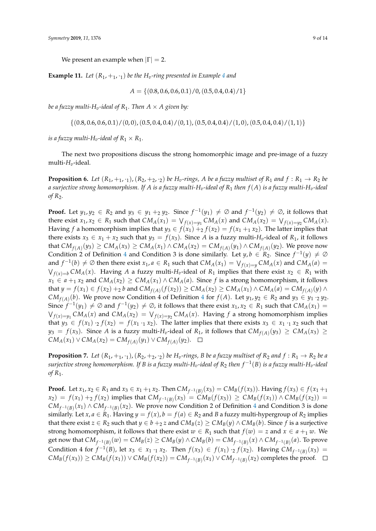We present an example when  $|\Gamma| = 2$ .

**Example 11.** Let  $(R_1, +_1, \cdot_1)$  be the  $H_v$ -ring presented in Example [4](#page-3-2) and

$$
A = \{(0.8, 0.6, 0.6, 0.1)/0, (0.5, 0.4, 0.4)/1\}
$$

*be a fuzzy multi-H<sub>v</sub>-ideal of R<sub>1</sub>. Then*  $A \times A$  *given by:* 

$$
\{(0.8, 0.6, 0.6, 0.1)/(0, 0), (0.5, 0.4, 0.4)/(0, 1), (0.5, 0.4, 0.4)/(1, 0), (0.5, 0.4, 0.4)/(1, 1)\}
$$

*is a fuzzy multi-H<sub>v</sub>-ideal of*  $R_1 \times R_1$ *.* 

The next two propositions discuss the strong homomorphic image and pre-image of a fuzzy multi-*Hv*-ideal.

<span id="page-8-0"></span>**Proposition 6.** Let  $(R_1, +_1, \cdot_1)$ ,  $(R_2, +_2, \cdot_2)$  be  $H_v$ -rings, A be a fuzzy multiset of  $R_1$  and  $f: R_1 \to R_2$  be *a surjective strong homomorphism. If A is a fuzzy multi-Hv-ideal of R*<sup>1</sup> *then f*(*A*) *is a fuzzy multi-Hv-ideal of R*2*.*

**Proof.** Let  $y_1, y_2 \in R_2$  and  $y_3 \in y_1 +_2 y_2$ . Since  $f^{-1}(y_1) \neq \emptyset$  and  $f^{-1}(y_2) \neq \emptyset$ , it follows that there exist  $x_1, x_2 \in R_1$  such that  $CM_A(x_1) = \bigvee_{f(x)=y_1} CM_A(x)$  and  $CM_A(x_2) = \bigvee_{f(x)=y_2} CM_A(x)$ . Having *f* a homomorphism implies that  $y_3 \in f(x_1) + f(x_2) = f(x_1 + f(x_2))$ . The latter implies that there exists  $x_3 \in x_1 + x_2$  such that  $y_3 = f(x_3)$ . Since *A* is a fuzzy multi- $H_v$ -ideal of  $R_1$ , it follows that  $CM_{f(A)}(y_3) \geq CM_A(x_3) \geq CM_A(x_1) \wedge CM_A(x_2) = CM_{f(A)}(y_1) \wedge CM_{f(A)}(y_2)$ . We prove now Condition 2 of Definition [4](#page-3-0) and Condition 3 is done similarly. Let  $y, b \in R_2$ . Since  $f^{-1}(y) \neq \emptyset$ and  $f^{-1}(b) \neq \emptyset$  then there exist  $x_1, a \in R_1$  such that  $CM_A(x_1) = \bigvee_{f(x)=y} CM_A(x)$  and  $CM_A(a) =$  $\bigvee_{f(x)=b} CM_A(x)$ . Having *A* a fuzzy multi-*H*<sub>*v*</sub>-ideal of *R*<sub>1</sub> implies that there exist  $x_2 \in R_1$  with *x*<sub>1</sub> ∈ *a* +<sub>1</sub> *x*<sub>2</sub> and *CM<sub>A</sub>*(*x*<sub>2</sub>) ≥ *CM<sub>A</sub>*(*x*<sub>1</sub>) ∧ *CM<sub>A</sub>*(*a*). Since *f* is a strong homomorphism, it follows that  $y = f(x_1) \in f(x_2) +_2 b$  and  $CM_{f(A)}(f(x_2)) \geq CM_A(x_2) \geq CM_A(x_1) \wedge CM_A(a) = CM_{f(A)}(y) \wedge$ *CM*<sub>*f*(*A*)</sub>(*b*). We prove now Condition [4](#page-3-0) of Definition 4 for *f*(*A*). Let *y*<sub>1</sub>, *y*<sub>2</sub> ∈ *R*<sub>2</sub> and *y*<sub>3</sub> ∈ *y*<sub>1</sub> ·2 *y*<sub>2</sub>. Since  $f^{-1}(y_1) \neq \emptyset$  and  $f^{-1}(y_2) \neq \emptyset$ , it follows that there exist  $x_1, x_2 \in R_1$  such that  $CM_A(x_1) =$  $\bigvee_{f(x)=y_1} CM_A(x)$  and  $CM_A(x_2) = \bigvee_{f(x)=y_2} CM_A(x)$ . Having  $f$  a strong homomorphism implies that  $y_3 \in f(x_1) \cdot_2 f(x_2) = f(x_1 \cdot_1 x_2)$ . The latter implies that there exists  $x_3 \in x_1 \cdot_1 x_2$  such that  $y_3 = f(x_3)$ . Since *A* is a fuzzy multi-*H*<sub>*v*</sub>-ideal of *R*<sub>1</sub>, it follows that  $CM_{f(A)}(y_3) \ge CM_A(x_3) \ge$ *CM*<sup>*A*</sup>(*x*<sub>1</sub>) ∨ *CMA*(*x*<sub>2</sub>) = *CM*<sub>*f*(*A*)</sub>(*y*<sub>1</sub>) ∨ *CM*<sub>*f*(*A*)</sub>(*y*<sub>2</sub>).

**Proposition 7.** Let  $(R_1, +_1, \cdot_1)$ ,  $(R_2, +_2, \cdot_2)$  be  $H_v$ -rings, B be a fuzzy multiset of  $R_2$  and  $f: R_1 \to R_2$  be a *surjective strong homomorphism. If B is a fuzzy multi-Hv-ideal of R*<sup>2</sup> *then f* −1 (*B*) *is a fuzzy multi-Hv-ideal of R*1*.*

**Proof.** Let  $x_1, x_2 \in R_1$  and  $x_3 \in x_1 +_1 x_2$ . Then  $CM_{f^{-1}(B)}(x_3) = CM_B(f(x_3))$ . Having  $f(x_3) \in f(x_1 +_1 x_2)$ .  $f(x_2) = f(x_1) + f(x_2)$  implies that  $CM_{f^{-1}(B)}(x_3) = CM_B(f(x_3)) \ge CM_B(f(x_1)) \wedge CM_B(f(x_2)) =$ *CM*<sub>*f*<sup>-1</sup>(*B*)</sub>(*x*<sub>1</sub>) ∧ *CM*<sub>*f*<sup>-1</sup>(*B*)</sub>(*x*<sub>2</sub>). We prove now Condition 2 of Definition [4](#page-3-0) and Condition 3 is done similarly. Let  $x, a \in R_1$ . Having  $y = f(x), b = f(a) \in R_2$  and *B* a fuzzy multi-hypergroup of  $R_2$  implies that there exist *z* ∈ *R*<sub>2</sub> such that *y* ∈ *b* +<sub>2</sub> *z* and *CM*<sub>*B*</sub>(*z*) ≥ *CM*<sub>*B*</sub>(*y*) ∧ *CM*<sub>*B*</sub>(*b*). Since *f* is a surjective strong homomorphism, it follows that there exist  $w \in R_1$  such that  $f(w) = z$  and  $x \in a +_1 w$ . We get now that  $CM_{f^{-1}(B)}(w) = CM_B(z) \geq CM_B(y) \wedge CM_B(b) = CM_{f^{-1}(B)}(x) \wedge CM_{f^{-1}(B)}(a)$ . To prove Condition 4 for  $f^{-1}(B)$ , let *x*<sub>3</sub> ∈ *x*<sub>1</sub> ·<sub>1</sub> *x*<sub>2</sub>. Then  $f(x_3) \in f(x_1) \cdot_2 f(x_2)$ . Having  $CM_{f^{-1}(B)}(x_3) =$  $CM_B(f(x_3)) \geq CM_B(f(x_1)) \vee CM_B(f(x_2)) = CM_{f^{-1}(B)}(x_1) \vee CM_{f^{-1}(B)}(x_2)$  completes the proof.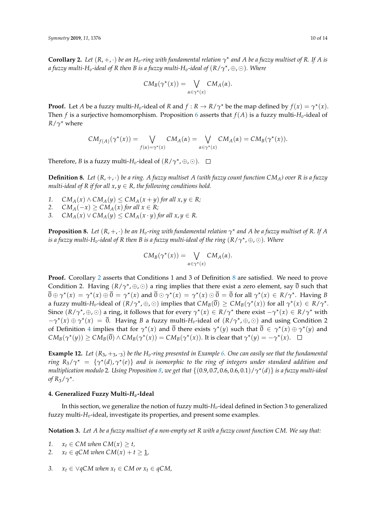<span id="page-9-0"></span>**Corollary 2.** Let  $(R, +, \cdot)$  be an  $H_v$ -ring with fundamental relation  $\gamma^*$  and A be a fuzzy multiset of R. If A is *a fuzzy multi-Hv-ideal of R then B is a fuzzy multi-Hv-ideal of* (*R*/*γ* ? , ⊕, )*. Where*

$$
CM_B(\gamma^*(x)) = \bigvee_{\alpha \in \gamma^*(x)} CM_A(\alpha).
$$

**Proof.** Let *A* be a fuzzy multi-*H*<sub>*v*</sub>-ideal of *R* and  $f : R \to R/\gamma^*$  be the map defined by  $f(x) = \gamma^*(x)$ . Then *f* is a surjective homomorphism. Proposition [6](#page-8-0) asserts that  $f(A)$  is a fuzzy multi- $H_v$ -ideal of  $R/\gamma^*$  where

$$
CM_{f(A)}(\gamma^*(x)) = \bigvee_{f(\alpha) = \gamma^*(x)} CM_A(\alpha) = \bigvee_{\alpha \in \gamma^*(x)} CM_A(\alpha) = CM_B(\gamma^*(x)).
$$

Therefore, *B* is a fuzzy multi- $H_v$ -ideal of  $(R/\gamma^*, \oplus, \odot)$ .

<span id="page-9-1"></span>**Definition 8.** Let  $(R, +, \cdot)$  be a ring. A fuzzy multiset A (with fuzzy count function  $CM_A$ ) over R is a fuzzy *multi-ideal of R if for all*  $x, y \in R$ *, the following conditions hold.* 

1.  $CM_A(x) \wedge CM_A(y) \leq CM_A(x+y)$  *for all*  $x, y \in R$ *;* 

2. 
$$
CM_A(-x) \ge CM_A(x)
$$
 for all  $x \in R$ ;

3.  $CM_A(x) \vee CM_A(y) \leq CM_A(x \cdot y)$  *for all*  $x, y \in R$ *.* 

<span id="page-9-2"></span>**Proposition 8.** Let  $(R, +, \cdot)$  be an  $H_v$ -ring with fundamental relation  $\gamma^*$  and A be a fuzzy multiset of R. If A is a fuzzy multi-H<sub>v</sub>-ideal of R then B is a fuzzy multi-ideal of the ring  $(R/\gamma^\star,\oplus,\odot)$ . Where

$$
CM_B(\gamma^*(x)) = \bigvee_{\alpha \in \gamma^*(x)} CM_A(\alpha).
$$

**Proof.** Corollary [2](#page-9-0) asserts that Conditions 1 and 3 of Definition [8](#page-9-1) are satisfied. We need to prove Condition 2. Having  $(R/\gamma^*, \oplus, \odot)$  a ring implies that there exist a zero element, say  $\overline{0}$  such that  $\overline{0} \oplus \gamma^{\star}(x) = \gamma^{\star}(x) \oplus \overline{0} = \gamma^{\star}(x)$  and  $\overline{0} \odot \gamma^{\star}(x) = \gamma^{\star}(x) \odot \overline{0} = \overline{0}$  for all  $\gamma^{\star}(x) \in R/\gamma^{\star}$ . Having B a fuzzy multi-*H<sub>v</sub>*-ideal of  $(R/\gamma^{\star}, \oplus, \odot)$  implies that  $CM_B(\overline{0}) \geq CM_B(\gamma^{\star}(x))$  for all  $\gamma^{\star}(x) \in R/\gamma^{\star}$ . Since  $(R/\gamma^*, \oplus, \odot)$  a ring, it follows that for every  $\gamma^*(x) \in R/\gamma^*$  there exist  $-\gamma^*(x) \in R/\gamma^*$  with  $-\gamma^*(x) \oplus \gamma^*(x) = \overline{0}$ . Having *B* a fuzzy multi-*H<sub>v</sub>*-ideal of  $(R/\gamma^*, \oplus, \odot)$  and using Condition 2 of Definition [4](#page-3-0) implies that for  $\gamma^*(x)$  and  $\overline{0}$  there exists  $\gamma^*(y)$  such that  $\overline{0} \in \gamma^*(x) \oplus \gamma^*(y)$  and  $CM_B(\gamma^*(y)) \geq CM_B(\overline{0}) \wedge CM_B(\gamma^*(x)) = CM_B(\gamma^*(x))$ . It is clear that  $\gamma^*(y) = -\gamma^*(x)$ .

**Example 12.** Let  $(R_3, +_3, \cdot_3)$  be the  $H_v$ -ring presented in Example [6.](#page-4-1) One can easily see that the fundamental *ring*  $R_3/\gamma^* = \{\gamma^*(d), \gamma^*(e)\}\$ and is isomorphic to the ring of integers under standard addition and *multiplication modulo* 2*. Using Proposition [8,](#page-9-2) we get that* {(0.9, 0.7, 0.6, 0.6, 0.1)/*γ* ? (*d*)} *is a fuzzy multi-ideal of*  $R_3/\gamma^*$ .

#### **4. Generalized Fuzzy Multi-***Hv***-Ideal**

In this section, we generalize the notion of fuzzy multi-*Hv*-ideal defined in Section 3 to generalized fuzzy multi-*Hv*-ideal, investigate its properties, and present some examples.

**Notation 3.** *Let A be a fuzzy multiset of a non-empty set R with a fuzzy count function CM. We say that:*

*1.*  $x_t \in CM$  when  $CM(x) \geq t$ ,

- 2.  $x_t \in qCM$  when  $CM(x) + t \geq 1$ ,
- *3.*  $x_t \in ∨qCM$  when  $x_t \in CM$  or  $x_t \in qCM$ ,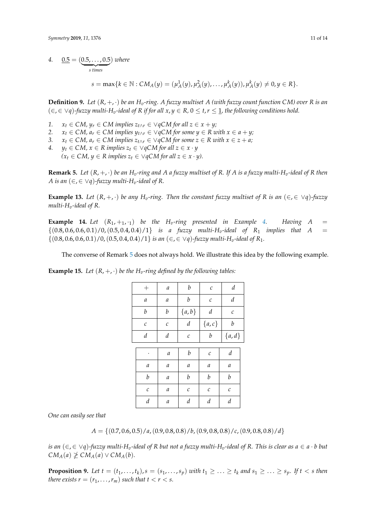*4.*  $0.5 = (0.5, \ldots, 0.5)$ ) *where*

> $\frac{1}{\text{s times}}$ *s times*

> > $s = \max\{k \in \mathbb{N} : CM_A(y) = (\mu_A^1(y), \mu_A^2(y), \ldots, \mu_A^k(y)), \mu_A^k(y) \neq 0, y \in R\}.$

<span id="page-10-2"></span>**Definition 9.** Let  $(R, +, \cdot)$  be an  $H_v$ -ring. A fuzzy multiset A (with fuzzy count function CM) over R is an  $(∈, ∈ ∨q)$ -fuzzy multi-H<sub>v</sub>-ideal of R if for all  $x, y ∈ R, 0 ≤ t, r ≤ 1$ , the following conditions hold.

- *1.*  $x_t$  ∈ *CM,*  $y_r$  ∈ *CM* implies  $z_{t \wedge r}$  ∈  $\vee$  *qCM* for all  $z$  ∈  $x + y$ ;
- *2.*  $x_t$  ∈ *CM,*  $a_r$  ∈ *CM implies*  $y_{t \wedge r}$  ∈  $\vee$  *qCM for some*  $y$  ∈ *R* with  $x$  ∈  $a + y$ ;
- *3.*  $x_t \in CM$ ,  $a_r \in CM$  implies  $z_{t \wedge r} \in \sqrt{q}CM$  for some  $z \in R$  with  $x \in z + a$ ;<br>
4.  $y_t \in CM$ ,  $x \in R$  implies  $z_t \in \sqrt{q}CM$  for all  $z \in x \cdot y$
- $y_t \in CM$ ,  $x \in R$  *implies*  $z_t \in \forall q CM$  *for all*  $z \in x \cdot y$  $(x<sub>t</sub> ∈ CM, y ∈ R implies z<sub>t</sub> ∈ ∨ qCM for all z ∈ x ⋅ y)$ .

<span id="page-10-0"></span>**Remark 5.** *Let*  $(R, +, \cdot)$  *be an*  $H_v$ *-ring and A a fuzzy multiset of R. If A is a fuzzy multi-H<sub>v</sub>-ideal of R then A* is an  $(\in, \in \vee q)$ -fuzzy multi-H<sub>v</sub>-ideal of R.

**Example 13.** Let  $(R, +, \cdot)$  be any  $H_v$ -ring. Then the constant fuzzy multiset of R is an  $(\in, \in \forall q)$ -fuzzy *multi-H<sub>v</sub>*-ideal of R.

**Example 1[4.](#page-3-2)** Let  $(R_1, +_1, 1)$  be the H<sub>v</sub>-ring presented in Example 4. Having A =  $\{(0.8, 0.6, 0.6, 0.1)/0, (0.5, 0.4, 0.4)/1\}$  *is a fuzzy multi-H<sub>v</sub>-ideal of*  $R_1$  *implies that*  $A =$  $\{(0.8, 0.6, 0.6, 0.1)/0, (0.5, 0.4, 0.4)/1\}$  *is an*  $(\in, \in \vee q)$ *-fuzzy multi-H<sub>v</sub>-ideal of R*<sub>1</sub>*.* 

The converse of Remark [5](#page-10-0) does not always hold. We illustrate this idea by the following example.

| $^{+}$           | а                | b            | $\cal C$              | $\boldsymbol{d}$ |
|------------------|------------------|--------------|-----------------------|------------------|
| $\mathfrak a$    | а                | b            | C                     | $\boldsymbol{d}$ |
| b                | b                | ${a,b}$      | d                     | $\mathcal C$     |
| $\cal C$         | $\mathcal C$     | d            | $\{a,c\}$             | b                |
| d                | $\boldsymbol{d}$ | $\cal C$     | $\boldsymbol{b}$      | ${a,d}$          |
|                  |                  |              |                       |                  |
|                  | а                | b            | $\mathcal{C}_{0}^{2}$ | d                |
| а                | а                | а            | а                     | а                |
| $\boldsymbol{b}$ | а                | b            | b                     | b                |
| $\mathcal C$     | $\boldsymbol{a}$ | $\mathcal C$ | $\mathcal C$          | C                |
| d                | а                | d            | d                     | $\boldsymbol{d}$ |
|                  |                  |              |                       |                  |

<span id="page-10-3"></span>**Example 15.** *Let*  $(R, +, \cdot)$  *be the*  $H_v$ *-ring defined by the following tables:* 

*One can easily see that*

 $A = \{(0.7, 0.6, 0.5)/a, (0.9, 0.8, 0.8)/b, (0.9, 0.8, 0.8)/c, (0.9, 0.8, 0.8)/d\}$ 

*is an*  $(\epsilon, \epsilon \vee q)$ -fuzzy multi-H<sub>v</sub>-ideal of R but not a fuzzy multi-H<sub>v</sub>-ideal of R. This is clear as  $a \in a \cdot b$  but  $CM_A(a) \not\geq CM_A(a) \vee CM_A(b)$ .

<span id="page-10-1"></span>**Proposition 9.** Let  $t = (t_1, ..., t_k)$ ,  $s = (s_1, ..., s_p)$  with  $t_1 \ge ... \ge t_k$  and  $s_1 \ge ... \ge s_p$ . If  $t < s$  then *there exists*  $r = (r_1, \ldots, r_m)$  *such that*  $t < r < s$ *.*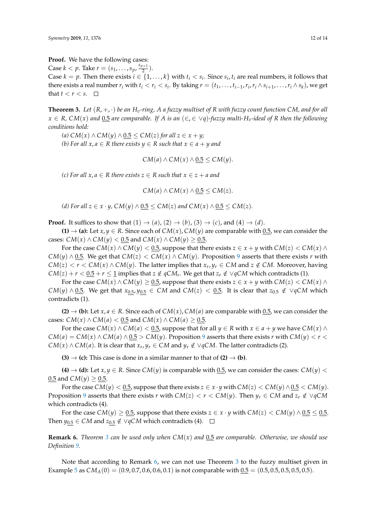**Proof.** We have the following cases:

Case  $k < p$ . Take  $r = (s_1, ..., s_p, \frac{s_{p+1}}{2})$  $\frac{1}{2}$ ).

Case  $k = p$ . Then there exists  $i \in \{1, ..., k\}$  with  $t_i < s_i$ . Since  $s_i$ ,  $t_i$  are real numbers, it follows that there exists a real number  $r_i$  with  $t_i < r_i < s_i$ . By taking  $r = (t_1, \ldots, t_{i-1}, r_i, r_i \wedge s_{i+1}, \ldots, r_i \wedge s_k)$ , we get that  $t < r < s$ .  $\Box$ 

<span id="page-11-0"></span>**Theorem 3.** *Let* (*R*, +, ·) *be an Hv-ring, A a fuzzy multiset of R with fuzzy count function CM, and for all*  $x \in R$ ,  $CM(x)$  *and* 0.5 *are comparable. If A is an* ( $\in$ , $\in$   $\vee$ *q*)*-fuzzy multi-H<sub><i>v*</sub>-ideal of *R then the following conditions hold:*

 $(A)$  *CM*(*x*) ∧ *CM*(*y*) ∧ 0.5 ≤ *CM*(*z*) *for all z* ∈ *x* + *y*;

*(b)* For all  $x, a ∈ R$  there exists  $y ∈ R$  such that  $x ∈ a + y$  and

$$
CM(a) \wedge CM(x) \wedge \underline{0.5} \le CM(y).
$$

*(c)* For all  $x, a$  ∈ R there exists  $z$  ∈ R such that  $x$  ∈  $z$  +  $a$  and

$$
CM(a) \wedge CM(x) \wedge 0.5 \leq CM(z).
$$

*(d)* For all  $z \in x \cdot y$ , CM( $y$ ) ∧ 0.5 ≤ CM( $z$ ) and CM( $x$ ) ∧ 0.5 ≤ CM( $z$ ).

**Proof.** It suffices to show that  $(1) \rightarrow (a)$ ,  $(2) \rightarrow (b)$ ,  $(3) \rightarrow (c)$ , and  $(4) \rightarrow (d)$ .

**(1)**  $\rightarrow$  **(a):** Let *x*, *y*  $\in$  *R*. Since each of *CM*(*x*), *CM*(*y*) are comparable with 0.5, we can consider the cases:  $CM(x) \wedge CM(y) < 0.5$  and  $CM(x) \wedge CM(y) \ge 0.5$ .

For the case  $CM(x) \wedge CM(y) < 0.5$ , suppose that there exists  $z \in x + y$  with  $CM(z) < CM(x) \wedge$ *CM*(*y*) ∧ <u>0.5</u>. We get that *CM*(*z*) < *CM*(*x*) ∧ *CM*(*y*). Proposition [9](#page-10-1) asserts that there exists *r* with  $CM(z) < r < CM(x) \land CM(y)$ . The latter implies that  $x_r, y_r \in CM$  and  $z \notin CM$ . Moreover, having  $CM(z) + r < 0.5 + r \leq 1$  implies that  $z \notin qCM_r$ . We get that  $z_r \notin \forall qCM$  which contradicts (1).

For the case  $CM(x) \wedge CM(y) \geq 0.5$ , suppose that there exists  $z \in x + y$  with  $CM(z) < CM(x) \wedge$ *CM*(*y*) ∧ <u>0.5</u>. We get that  $x_{0.5}$ ,  $y_{0.5}$  ∈ *CM* and *CM*(*z*) < 0.5. It is clear that  $z_{0.5}$  ∉ ∨*qCM* which contradicts (1).

**(2)**  $\rightarrow$  **(b):** Let *x*, *a*  $\in$  *R*. Since each of *CM*(*x*), *CM*(*a*) are comparable with 0.5, we can consider the cases:  $CM(x) \wedge CM(a) < 0.5$  and  $CM(x) \wedge CM(a) \geq 0.5$ .

For the case  $CM(x) \wedge CM(a) < 0.5$ , suppose that for all  $y \in R$  with  $x \in a + y$  we have  $CM(x) \wedge$  $CM(a) = CM(x) \wedge CM(a) \wedge 0.5 > CM(y)$ . Proposition [9](#page-10-1) asserts that there exists *r* with  $CM(y) < r <$  $CM(x) \wedge CM(a)$ . It is clear that  $x_r, y_r \in CM$  and  $y_r \notin \vee qCM$ . The latter contradicts (2).

**(3)**  $\rightarrow$  **(c):** This case is done in a similar manner to that of **(2)**  $\rightarrow$  **(b)**.

**(4)**  $\rightarrow$  **(d)**: Let *x*, *y*  $\in$  *R*. Since *CM*(*y*) is comparable with 0.5, we can consider the cases: *CM*(*y*)  $\lt$ 0.5 and *CM*( $y$ )  $\geq$  0.5.

For the case  $CM(y) < 0.5$ , suppose that there exists  $z \in x \cdot y$  with  $CM(z) < CM(y) \wedge 0.5 < CM(y)$ . Proposition [9](#page-10-1) asserts that there exists *r* with  $CM(z) < r < CM(y)$ . Then  $y_r \in CM$  and  $z_r \notin \forall qCM$ which contradicts (4).

For the case *CM*(*y*)  $\geq$  <u>0.5</u>, suppose that there exists *z* ∈ *x* · *y* with *CM*(*z*) < *CM*(*y*)  $\land$  <u>0.5</u> ≤ <u>0.5</u>. Then *y*<sub>0.5</sub> ∈ *CM* and  $z_{0.5} \notin \sqrt{q}CM$  which contradicts (4).  $\Box$ 

<span id="page-11-1"></span>**Remark 6.** *Theorem [3](#page-11-0) can be used only when CM*(*x*) *and* 0.5 *are comparable. Otherwise, we should use Definition [9.](#page-10-2)*

Note that according to Remark [6,](#page-11-1) we can not use Theorem [3](#page-11-0) to the fuzzy multiset given in Example [5](#page-4-2) as  $CM_A(0) = (0.9, 0.7, 0.6, 0.6, 0.1)$  is not comparable with  $0.5 = (0.5, 0.5, 0.5, 0.5, 0.5)$ .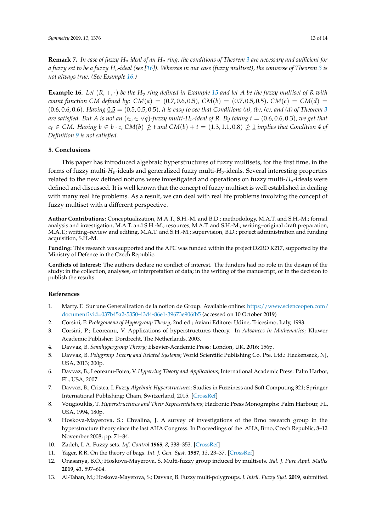**Remark 7.** *In case of fuzzy Hv-ideal of an Hv-ring, the conditions of Theorem [3](#page-11-0) are necessary and sufficient for a fuzzy set to be a fuzzy Hv-ideal (see [\[16\]](#page-13-2)). Whereas in our case (fuzzy multiset), the converse of Theorem [3](#page-11-0) is not always true. (See Example [16.](#page-12-13))*

<span id="page-12-13"></span>**Example 16.** Let  $(R, +, \cdot)$  be the  $H_v$ -ring defined in Example [15](#page-10-3) and let A be the fuzzy multiset of R with *count function CM defined by:*  $CM(a) = (0.7, 0.6, 0.5)$ *,*  $CM(b) = (0.7, 0.5, 0.5)$ *,*  $CM(c) = CM(d) =$  $(0.6, 0.6, 0.6)$ *. Having*  $0.5 = (0.5, 0.5, 0.5)$ *, it is easy to see that Conditions (a), (b), (c), and (d) of Theorem [3](#page-11-0) are satisfied. But A is not an*  $(\infty, \in \vee q)$ *-fuzzy multi-H*<sub>*v*</sub>-ideal of R. By taking  $t = (0.6, 0.6, 0.3)$ *, we get that c*<sub>t</sub> ∈ *CM.* Having  $b \in b \cdot c$ , *CM*(*b*)  $\geq t$  *and CM*(*b*) + *t* = (1.3, 1.1, 0.8)  $\geq \frac{1}{2}$  *implies that Condition 4 of Definition [9](#page-10-2) is not satisfied.*

## **5. Conclusions**

This paper has introduced algebraic hyperstructures of fuzzy multisets, for the first time, in the forms of fuzzy multi-*Hv*-ideals and generalized fuzzy multi-*Hv*-ideals. Several interesting properties related to the new defined notions were investigated and operations on fuzzy multi-*Hv*-ideals were defined and discussed. It is well known that the concept of fuzzy multiset is well established in dealing with many real life problems. As a result, we can deal with real life problems involving the concept of fuzzy multiset with a different perspective.

**Author Contributions:** Conceptualization, M.A.T., S.H.-M. and B.D.; methodology, M.A.T. and S.H.-M.; formal analysis and investigation, M.A.T. and S.H.-M.; resources, M.A.T. and S.H.-M.; writing–original draft preparation, M.A.T.; writing–review and editing, M.A.T. and S.H.-M.; supervision, B.D.; project administration and funding acquisition, S.H.-M.

**Funding:** This research was supported and the APC was funded within the project DZRO K217, supported by the Ministry of Defence in the Czech Republic.

**Conflicts of Interest:** The authors declare no conflict of interest. The funders had no role in the design of the study; in the collection, analyses, or interpretation of data; in the writing of the manuscript, or in the decision to publish the results.

## **References**

- <span id="page-12-0"></span>1. Marty, F. Sur une Generalization de la notion de Group. Available online: [https://www.scienceopen.com/](https://www.scienceopen.com/document?vid=037b45a2-5350-43d4-86e1-39673e906fb5) [document?vid=037b45a2-5350-43d4-86e1-39673e906fb5](https://www.scienceopen.com/document?vid=037b45a2-5350-43d4-86e1-39673e906fb5) (accessed on 10 October 2019)
- <span id="page-12-1"></span>2. Corsini, P. *Prolegomena of Hypergroup Theory*, 2nd ed.; Aviani Editore: Udine, Tricesimo, Italy, 1993.
- <span id="page-12-2"></span>3. Corsini, P.; Leoreanu, V. Applications of hyperstructures theory. In *Advances in Mathematics*; Kluwer Academic Publisher: Dordrecht, The Netherlands, 2003.
- <span id="page-12-3"></span>4. Davvaz, B. *Semihypergroup Theory*; Elsevier-Academic Press: London, UK, 2016; 156p.
- <span id="page-12-4"></span>5. Davvaz, B. *Polygroup Theory and Related Systems*; World Scientific Publishing Co. Pte. Ltd.: Hackensack, NJ, USA, 2013; 200p.
- <span id="page-12-5"></span>6. Davvaz, B.; Leoreanu-Fotea, V. *Hyperring Theory and Applications*; International Academic Press: Palm Harbor, FL, USA, 2007.
- <span id="page-12-6"></span>7. Davvaz, B.; Cristea, I. *Fuzzy Algebraic Hyperstructures*; Studies in Fuzziness and Soft Computing 321; Springer International Publishing: Cham, Switzerland, 2015. [\[CrossRef\]](http://dx.doi.org/10.1007/978-3-319-14762-8)
- <span id="page-12-7"></span>8. Vougiouklis, T. *Hyperstructures and Their Representations*; Hadronic Press Monographs: Palm Harbour, FL, USA, 1994, 180p.
- <span id="page-12-8"></span>9. Hoskova-Mayerova, S.; Chvalina, J. A survey of investigations of the Brno research group in the hyperstructure theory since the last AHA Congress. In Proceedings of the AHA, Brno, Czech Republic, 8–12 November 2008; pp. 71–84.
- <span id="page-12-9"></span>10. Zadeh, L.A. Fuzzy sets. *Inf. Control* **1965**, *8*, 338–353. [\[CrossRef\]](http://dx.doi.org/10.1016/S0019-9958(65)90241-X)
- <span id="page-12-10"></span>11. Yager, R.R. On the theory of bags. *Int. J. Gen. Syst.* **1987**, *13*, 23–37. [\[CrossRef\]](http://dx.doi.org/10.1080/03081078608934952)
- <span id="page-12-11"></span>12. Onasanya, B.O.; Hoskova-Mayerova, S. Multi-fuzzy group induced by multisets. *Ital. J. Pure Appl. Maths* **2019**, *41*, 597–604.
- <span id="page-12-12"></span>13. Al-Tahan, M.; Hoskova-Mayerova, S.; Davvaz, B. Fuzzy multi-polygroups. *J. Intell. Fuzzy Syst.* **2019**, submitted.